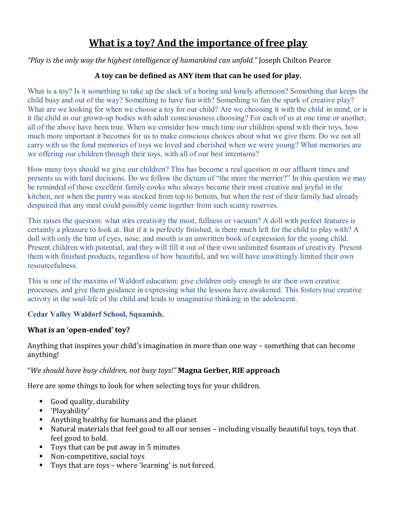# **What is a toy? And the importance of free play**

*"Play is the only way the highest intelligence of humankind can unfold."* Joseph Chilton Pearce

#### **A toy can be defined as ANY item that can be used for play.**

What is a toy? Is it something to take up the slack of a boring and lonely afternoon? Something that keeps the child busy and out of the way? Something to have fun with? Something to fan the spark of creative play? What are we looking for when we choose a toy for our child? Are we choosing it with the child in mind, or is it the child in our grown-up bodies with adult consciousness choosing? For each of us at one time or another, all of the above have been true. When we consider how much time our children spend with their toys, how much more important it becomes for us to make conscious choices about what we give them. Do we not all carry with us the fond memories of toys we loved and cherished when we were young? What memories are we offering our children through their toys, with all of our best intentions?

How many toys should we give our children? This has become a real question in our affluent times and presents us with hard decisions. Do we follow the dictum of "the more the merrier?" In this question we may be reminded of those excellent family cooks who always became their most creative and joyful in the kitchen, not when the pantry was stocked from top to bottom, but when the rest of their family had already despaired that any meal could possibly come together from such scanty reserves.

This raises the question: what stirs creativity the most, fullness or vacuum? A doll with perfect features is certainly a pleasure to look at. But if it is perfectly finished, is there much left for the child to play with? A doll with only the hint of eyes, nose, and mouth is an unwritten book of expression for the young child. Present children with potential, and they will fill it out of their own unlimited fountain of creativity. Present them with finished products, regardless of how beautiful, and we will have unwittingly limited their own resourcefulness.

This is one of the maxims of Waldorf education: give children only enough to stir their own creative processes, and give them guidance in expressing what the lessons have awakened. This fosters true creative activity in the soul-life of the child and leads to imaginative thinking in the adolescent.

#### **Cedar Valley Waldorf School, Squamish.**

#### **What is an 'open-ended' toy?**

Anything that inspires your child's imagination in more than one way – something that can become anything!

### "*We should have busy children, not busy toys!"* **Magna Gerber, RIE approach**

Here are some things to look for when selecting toys for your children.

- Good quality, durability
- 'Playability'
- Anything healthy for humans and the planet
- Natural materials that feel good to all our senses including visually beautiful toys, toys that feel good to hold.
- Toys that can be put away in 5 minutes
- Non-competitive, social toys
- Toys that are *toys* where 'learning' is not forced.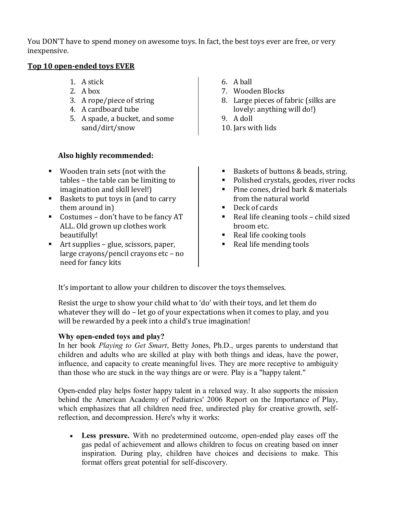You DON'T have to spend money on awesome toys. In fact, the best toys ever are free, or very inexpensive.

#### **Top 10 open-ended toys EVER**

- 1. A stick
- 2. A hox
- 3. A rope/piece of string
- 4. A cardboard tube
- 5. A spade, a bucket, and some sand/dirt/snow

## **Also highly recommended:**

- Wooden train sets (not with the tables – the table can be limiting to imagination and skill level!)
- Baskets to put toys in (and to carry them around in)
- Costumes don't have to be fancy AT ALL. Old grown up clothes work beautifully!
- Art supplies glue, scissors, paper, large crayons/pencil crayons etc – no need for fancy kits
- 6. A ball
- 7. Wooden Blocks
- 8. Large pieces of fabric (silks are lovely: anything will do!)
- 9. A doll
- 10. Jars with lids
- Baskets of buttons & beads, string.
- Polished crystals, geodes, river rocks
- Pine cones, dried bark & materials from the natural world
- Deck of cards
- Real life cleaning tools child sized broom etc.
- Real life cooking tools
- Real life mending tools

It's important to allow your children to discover the toys themselves.

Resist the urge to show your child what to 'do' with their toys, and let them do whatever they will do – let go of your expectations when it comes to play, and you will be rewarded by a peek into a child's true imagination!

### **Why open-ended toys and play?**

In her book *Playing to Get Smart*, Betty Jones, Ph.D., urges parents to understand that children and adults who are skilled at play with both things and ideas, have the power, influence, and capacity to create meaningful lives. They are more receptive to ambiguity than those who are stuck in the way things are or were. Play is a "happy talent."

Open-ended play helps foster happy talent in a relaxed way. It also supports the mission behind the American Academy of Pediatrics' 2006 Report on the Importance of Play, which emphasizes that all children need free, undirected play for creative growth, selfreflection, and decompression. Here's why it works:

 **Less pressure.** With no predetermined outcome, open-ended play eases off the gas pedal of achievement and allows children to focus on creating based on inner inspiration. During play, children have choices and decisions to make. This format offers great potential for self-discovery.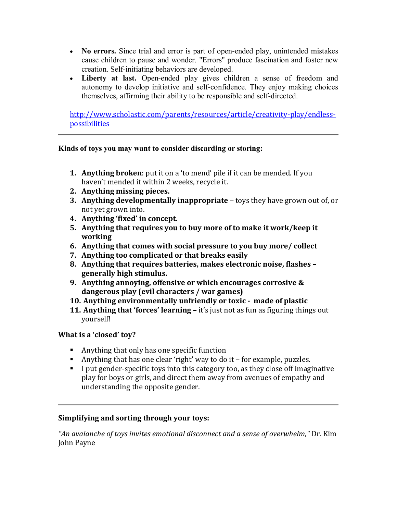- **No errors.** Since trial and error is part of open-ended play, unintended mistakes cause children to pause and wonder. "Errors" produce fascination and foster new creation. Self-initiating behaviors are developed.
- **Liberty at last.** Open-ended play gives children a sense of freedom and autonomy to develop initiative and self-confidence. They enjoy making choices themselves, affirming their ability to be responsible and self-directed.

[http://www.scholastic.com/parents/resources/article/creativity-play/endless](http://www.scholastic.com/parents/resources/article/creativity-play/endless-possibilities)[possibilities](http://www.scholastic.com/parents/resources/article/creativity-play/endless-possibilities)

#### **Kinds of toys you may want to consider discarding or storing:**

- **1. Anything broken**: put it on a 'to mend' pile if it can be mended. If you haven't mended it within 2 weeks, recycle it.
- **2. Anything missing pieces.**
- **3. Anything developmentally inappropriate**  toys they have grown out of, or not yet grown into.
- **4. Anything 'fixed' in concept.**
- **5. Anything that requires you to buy more of to make it work/keep it working**
- **6. Anything that comes with social pressure to you buy more/ collect**
- **7. Anything too complicated or that breaks easily**
- **8. Anything that requires batteries, makes electronic noise, flashes – generally high stimulus.**
- **9. Anything annoying, offensive or which encourages corrosive & dangerous play (evil characters / war games)**
- **10. Anything environmentally unfriendly or toxic made of plastic**
- **11. Anything that 'forces' learning –** it's just not as fun as figuring things out yourself!

### **What is a 'closed' toy?**

- Anything that only has one specific function
- Anything that has one clear 'right' way to do it for example, puzzles.
- I put gender-specific toys into this category too, as they close off imaginative play for boys or girls, and direct them away from avenues of empathy and understanding the opposite gender.

### **Simplifying and sorting through your toys:**

*"An avalanche of toys invites emotional disconnect and a sense of overwhelm,"* Dr. Kim John Payne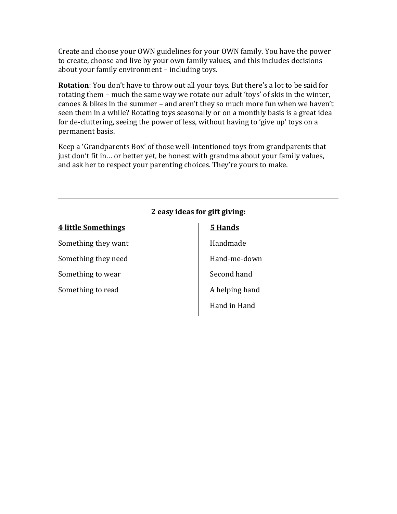Create and choose your OWN guidelines for your OWN family. You have the power to create, choose and live by your own family values, and this includes decisions about your family environment – including toys.

**Rotation**: You don't have to throw out all your toys. But there's a lot to be said for rotating them – much the same way we rotate our adult 'toys' of skis in the winter, canoes & bikes in the summer – and aren't they so much more fun when we haven't seen them in a while? Rotating toys seasonally or on a monthly basis is a great idea for de-cluttering, seeing the power of less, without having to 'give up' toys on a permanent basis.

Keep a 'Grandparents Box' of those well-intentioned toys from grandparents that just don't fit in… or better yet, be honest with grandma about your family values, and ask her to respect your parenting choices. They're yours to make.

# **2 easy ideas for gift giving: 4 little Somethings** Something they want Something they need Something to wear Something to read **5 Hands** Handmade Hand-me-down Second hand A helping hand Hand in Hand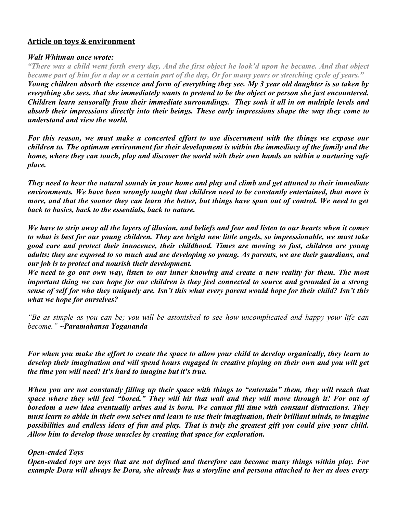#### **Article on toys & environment**

#### *Walt Whitman once wrote:*

*"There was a child went forth every day, And the first object he look'd upon he became. And that object became part of him for a day or a certain part of the day, Or for many years or stretching cycle of years."*

*Young children absorb the essence and form of everything they see. My 3 year old daughter is so taken by everything she sees, that she immediately wants to pretend to be the object or person she just encountered. Children learn sensorally from their immediate surroundings. They soak it all in on multiple levels and absorb their impressions directly into their beings. These early impressions shape the way they come to understand and view the world.* 

*For this reason, we must make a concerted effort to use discernment with the things we expose our children to. The optimum environment for their development is within the immediacy of the family and the home, where they can touch, play and discover the world with their own hands an within a nurturing safe place.* 

*They need to hear the natural sounds in your home and play and climb and get attuned to their immediate environments. We have been wrongly taught that children need to be constantly entertained, that more is more, and that the sooner they can learn the better, but things have spun out of control. We need to get back to basics, back to the essentials, back to nature.* 

*We have to strip away all the layers of illusion, and beliefs and fear and listen to our hearts when it comes to what is best for our young children. They are bright new little angels, so impressionable, we must take good care and protect their innocence, their childhood. Times are moving so fast, children are young adults; they are exposed to so much and are developing so young. As parents, we are their guardians, and our job is to protect and nourish their development.*

*We need to go our own way, listen to our inner knowing and create a new reality for them. The most important thing we can hope for our children is they feel connected to source and grounded in a strong sense of self for who they uniquely are. Isn't this what every parent would hope for their child? Isn't this what we hope for ourselves?* 

*"Be as simple as you can be; you will be astonished to see how uncomplicated and happy your life can become." ~Paramahansa Yogananda* 

*For when you make the effort to create the space to allow your child to develop organically, they learn to develop their imagination and will spend hours engaged in creative playing on their own and you will get the time you will need! It's hard to imagine but it's true.*

*When you are not constantly filling up their space with things to "entertain" them, they will reach that space where they will feel "bored." They will hit that wall and they will move through it! For out of boredom a new idea eventually arises and is born. We cannot fill time with constant distractions. They must learn to abide in their own selves and learn to use their imagination, their brilliant minds, to imagine possibilities and endless ideas of fun and play. That is truly the greatest gift you could give your child. Allow him to develop those muscles by creating that space for exploration.*

#### *Open-ended Toys*

*Open-ended toys are toys that are not defined and therefore can become many things within play. For example Dora will always be Dora, she already has a storyline and persona attached to her as does every*